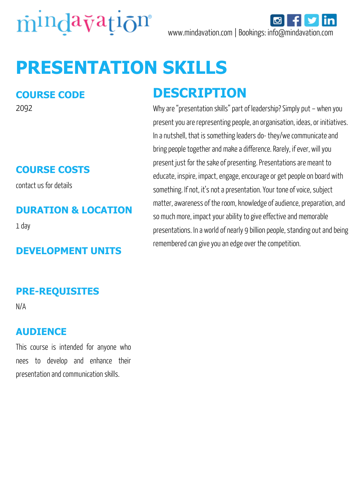



# **PRESENTATION SKILLS**

#### **COURSE CODE**

2092

#### **COURSE COSTS**

contact us for details

#### **DURATION & LOCATION**

1 day

#### **DEVELOPMENT UNITS**

### **DESCRIPTION**

Why are "presentation skills" part of leadership? Simply put – when you present you are representing people, an organisation, ideas, or initiatives. In a nutshell, that is something leaders do- they/we communicate and bring people together and make a difference. Rarely, if ever, will you present just for the sake of presenting. Presentations are meant to educate, inspire, impact, engage, encourage or get people on board with something. If not, it's not a presentation. Your tone of voice, subject matter, awareness of the room, knowledge of audience, preparation, and so much more, impact your ability to give effective and memorable presentations. In a world of nearly 9 billion people, standing out and being remembered can give you an edge over the competition.

#### **PRE-REQUISITES**

N/A

#### **AUDIENCE**

This course is intended for anyone who nees to develop and enhance their presentation and communication skills.